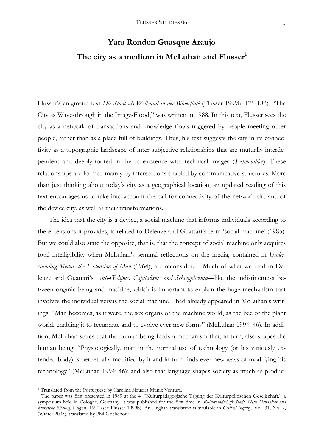# **Yara Rondon Guasque Araujo**  The city as a medium in McLuhan and Flusser<sup>1</sup>

Flusser's enigmatic text *Die Stadt als Wellental in der Bilderflut*2 (Flusser 1999b: 175-182), "The City as Wave-through in the Image-Flood," was written in 1988. In this text, Flusser sees the city as a network of transactions and knowledge flows triggered by people meeting other people, rather than as a place full of buildings. Thus, his text suggests the city in its connectivity as a topographic landscape of inter-subjective relationships that are mutually interdependent and deeply-rooted in the co-existence with technical images (*Technobilder*). These relationships are formed mainly by intersections enabled by communicative structures. More than just thinking about today's city as a geographical location, an updated reading of this text encourages us to take into account the call for connectivity of the network city and of the device city, as well as their transformations.

 The idea that the city is a device, a social machine that informs individuals according to the extensions it provides, is related to Deleuze and Guattari's term 'social machine' (1985). But we could also state the opposite, that is, that the concept of social machine only acquires total intelligibility when McLuhan's seminal reflections on the media, contained in *Understanding Media*, *the Extension of Man* (1964), are reconsidered. Much of what we read in Deleuze and Guattari's *Anti-Œdipus: Capitalisms and Schizophrenia*—like the indistinctness between organic being and machine, which is important to explain the huge mechanism that involves the individual versus the social machine—had already appeared in McLuhan's writings: "Man becomes, as it were, the sex organs of the machine world, as the bee of the plant world, enabling it to fecundate and to evolve ever new forms" (McLuhan 1994: 46). In addition, McLuhan states that the human being feeds a mechanism that, in turn, also shapes the human being: "Physiologically, man in the normal use of technology (or his variously extended body) is perpetually modified by it and in turn finds ever new ways of modifying his technology" (McLuhan 1994: 46); and also that language shapes society as much as produc-

<sup>&</sup>lt;sup>1</sup> Translated from the Portuguese by Carolina Siqueira Muniz Ventura.

<sup>2</sup> The paper was first presented in 1989 at the 4. "Kulturpädagogische Tagung der Kulturpolitischen Gesellschaft," a symposium held in Cologne, Germany; it was published for the first time in: *Kulturlandschaft Stadt. Neue Urbanität und kulturelle Bildung*, Hagen, 1990 (see Flusser 1999b). An English translation is available in *Critical Inquiry*, Vol. 31, No. 2, (Winter 2005), translated by Phil Gochenour.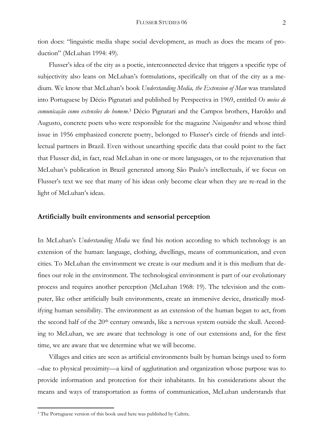tion does: "linguistic media shape social development, as much as does the means of production" (McLuhan 1994: 49).

 Flusser's idea of the city as a poetic, interconnected device that triggers a specific type of subjectivity also leans on McLuhan's formulations, specifically on that of the city as a medium. We know that McLuhan's book *Understanding Media, the Extension of Man* was translated into Portuguese by Décio Pignatari and published by Perspectiva in 1969, entitled *Os meios de comunicação como extensões do homem*. 3 Décio Pignatari and the Campos brothers, Haroldo and Augusto, concrete poets who were responsible for the magazine *Noisgandres* and whose third issue in 1956 emphasized concrete poetry, belonged to Flusser's circle of friends and intellectual partners in Brazil. Even without unearthing specific data that could point to the fact that Flusser did, in fact, read McLuhan in one or more languages, or to the rejuvenation that McLuhan's publication in Brazil generated among São Paulo's intellectuals, if we focus on Flusser's text we see that many of his ideas only become clear when they are re-read in the light of McLuhan's ideas.

## **Artificially built environments and sensorial perception**

In McLuhan's *Understanding Media* we find his notion according to which technology is an extension of the human: language, clothing, dwellings, means of communication, and even cities. To McLuhan the environment we create is our medium and it is this medium that defines our role in the environment. The technological environment is part of our evolutionary process and requires another perception (McLuhan 1968: 19). The television and the computer, like other artificially built environments, create an immersive device, drastically modifying human sensibility. The environment as an extension of the human began to act, from the second half of the 20<sup>th</sup> century onwards, like a nervous system outside the skull. According to McLuhan, we are aware that technology is one of our extensions and, for the first time, we are aware that we determine what we will become.

 Villages and cities are seen as artificial environments built by human beings used to form –due to physical proximity—a kind of agglutination and organization whose purpose was to provide information and protection for their inhabitants. In his considerations about the means and ways of transportation as forms of communication, McLuhan understands that

<sup>&</sup>lt;sup>3</sup> The Portuguese version of this book used here was published by Cultrix.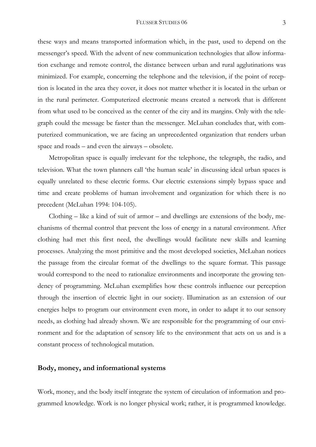these ways and means transported information which, in the past, used to depend on the messenger's speed. With the advent of new communication technologies that allow information exchange and remote control, the distance between urban and rural agglutinations was minimized. For example, concerning the telephone and the television, if the point of reception is located in the area they cover, it does not matter whether it is located in the urban or in the rural perimeter. Computerized electronic means created a network that is different from what used to be conceived as the center of the city and its margins. Only with the telegraph could the message be faster than the messenger. McLuhan concludes that, with computerized communication, we are facing an unprecedented organization that renders urban space and roads – and even the airways – obsolete.

 Metropolitan space is equally irrelevant for the telephone, the telegraph, the radio, and television. What the town planners call 'the human scale' in discussing ideal urban spaces is equally unrelated to these electric forms. Our electric extensions simply bypass space and time and create problems of human involvement and organization for which there is no precedent (McLuhan 1994: 104-105).

Clothing  $-$  like a kind of suit of armor  $-$  and dwellings are extensions of the body, mechanisms of thermal control that prevent the loss of energy in a natural environment. After clothing had met this first need, the dwellings would facilitate new skills and learning processes. Analyzing the most primitive and the most developed societies, McLuhan notices the passage from the circular format of the dwellings to the square format. This passage would correspond to the need to rationalize environments and incorporate the growing tendency of programming. McLuhan exemplifies how these controls influence our perception through the insertion of electric light in our society. Illumination as an extension of our energies helps to program our environment even more, in order to adapt it to our sensory needs, as clothing had already shown. We are responsible for the programming of our environment and for the adaptation of sensory life to the environment that acts on us and is a constant process of technological mutation.

# **Body, money, and informational systems**

Work, money, and the body itself integrate the system of circulation of information and programmed knowledge. Work is no longer physical work; rather, it is programmed knowledge.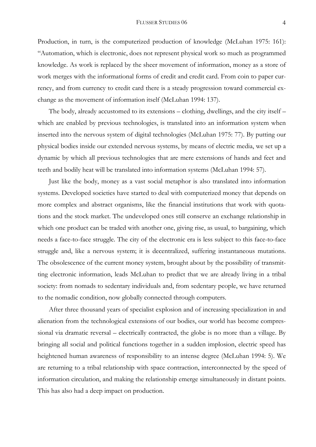#### FLUSSER STUDIES 06 4

Production, in turn, is the computerized production of knowledge (McLuhan 1975: 161): "Automation, which is electronic, does not represent physical work so much as programmed knowledge. As work is replaced by the sheer movement of information, money as a store of work merges with the informational forms of credit and credit card. From coin to paper currency, and from currency to credit card there is a steady progression toward commercial exchange as the movement of information itself (McLuhan 1994: 137).

 The body, already accustomed to its extensions – clothing, dwellings, and the city itself – which are enabled by previous technologies, is translated into an information system when inserted into the nervous system of digital technologies (McLuhan 1975: 77). By putting our physical bodies inside our extended nervous systems, by means of electric media, we set up a dynamic by which all previous technologies that are mere extensions of hands and feet and teeth and bodily heat will be translated into information systems (McLuhan 1994: 57).

 Just like the body, money as a vast social metaphor is also translated into information systems. Developed societies have started to deal with computerized money that depends on more complex and abstract organisms, like the financial institutions that work with quotations and the stock market. The undeveloped ones still conserve an exchange relationship in which one product can be traded with another one, giving rise, as usual, to bargaining, which needs a face-to-face struggle. The city of the electronic era is less subject to this face-to-face struggle and, like a nervous system; it is decentralized, suffering instantaneous mutations. The obsolescence of the current money system, brought about by the possibility of transmitting electronic information, leads McLuhan to predict that we are already living in a tribal society: from nomads to sedentary individuals and, from sedentary people, we have returned to the nomadic condition, now globally connected through computers.

After three thousand years of specialist explosion and of increasing specialization in and alienation from the technological extensions of our bodies, our world has become compressional via dramatic reversal – electrically contracted, the globe is no more than a village. By bringing all social and political functions together in a sudden implosion, electric speed has heightened human awareness of responsibility to an intense degree (McLuhan 1994: 5). We are returning to a tribal relationship with space contraction, interconnected by the speed of information circulation, and making the relationship emerge simultaneously in distant points. This has also had a deep impact on production.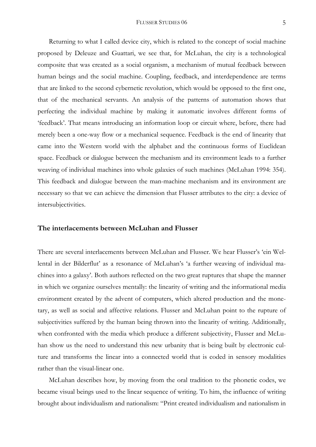Returning to what I called device city, which is related to the concept of social machine proposed by Deleuze and Guattari, we see that, for McLuhan, the city is a technological composite that was created as a social organism, a mechanism of mutual feedback between human beings and the social machine. Coupling, feedback, and interdependence are terms that are linked to the second cybernetic revolution, which would be opposed to the first one, that of the mechanical servants. An analysis of the patterns of automation shows that perfecting the individual machine by making it automatic involves different forms of 'feedback'. That means introducing an information loop or circuit where, before, there had merely been a one-way flow or a mechanical sequence. Feedback is the end of linearity that came into the Western world with the alphabet and the continuous forms of Euclidean space. Feedback or dialogue between the mechanism and its environment leads to a further weaving of individual machines into whole galaxies of such machines (McLuhan 1994: 354). This feedback and dialogue between the man-machine mechanism and its environment are necessary so that we can achieve the dimension that Flusser attributes to the city: a device of intersubjectivities.

### **The interlacements between McLuhan and Flusser**

There are several interlacements between McLuhan and Flusser. We hear Flusser's 'ein Wellental in der Bilderflut' as a resonance of McLuhan's 'a further weaving of individual machines into a galaxy'. Both authors reflected on the two great ruptures that shape the manner in which we organize ourselves mentally: the linearity of writing and the informational media environment created by the advent of computers, which altered production and the monetary, as well as social and affective relations. Flusser and McLuhan point to the rupture of subjectivities suffered by the human being thrown into the linearity of writing. Additionally, when confronted with the media which produce a different subjectivity, Flusser and McLuhan show us the need to understand this new urbanity that is being built by electronic culture and transforms the linear into a connected world that is coded in sensory modalities rather than the visual-linear one.

 McLuhan describes how, by moving from the oral tradition to the phonetic codes, we became visual beings used to the linear sequence of writing. To him, the influence of writing brought about individualism and nationalism: "Print created individualism and nationalism in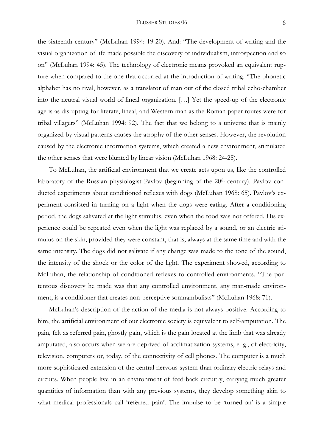the sixteenth century" (McLuhan 1994: 19-20). And: "The development of writing and the visual organization of life made possible the discovery of individualism, introspection and so on" (McLuhan 1994: 45). The technology of electronic means provoked an equivalent rupture when compared to the one that occurred at the introduction of writing. "The phonetic alphabet has no rival, however, as a translator of man out of the closed tribal echo-chamber into the neutral visual world of lineal organization. […] Yet the speed-up of the electronic age is as disrupting for literate, lineal, and Western man as the Roman paper routes were for tribal villagers" (McLuhan 1994: 92). The fact that we belong to a universe that is mainly organized by visual patterns causes the atrophy of the other senses. However, the revolution caused by the electronic information systems, which created a new environment, stimulated the other senses that were blunted by linear vision (McLuhan 1968: 24-25).

To McLuhan, the artificial environment that we create acts upon us, like the controlled laboratory of the Russian physiologist Pavlov (beginning of the 20th century). Pavlov conducted experiments about conditioned reflexes with dogs (McLuhan 1968: 65). Pavlov's experiment consisted in turning on a light when the dogs were eating. After a conditioning period, the dogs salivated at the light stimulus, even when the food was not offered. His experience could be repeated even when the light was replaced by a sound, or an electric stimulus on the skin, provided they were constant, that is, always at the same time and with the same intensity. The dogs did not salivate if any change was made to the tone of the sound, the intensity of the shock or the color of the light. The experiment showed, according to McLuhan, the relationship of conditioned reflexes to controlled environments. "The portentous discovery he made was that any controlled environment, any man-made environment, is a conditioner that creates non-perceptive somnambulists" (McLuhan 1968: 71).

 McLuhan's description of the action of the media is not always positive. According to him, the artificial environment of our electronic society is equivalent to self-amputation. The pain, felt as referred pain, ghostly pain, which is the pain located at the limb that was already amputated, also occurs when we are deprived of acclimatization systems, e. g., of electricity, television, computers or, today, of the connectivity of cell phones. The computer is a much more sophisticated extension of the central nervous system than ordinary electric relays and circuits. When people live in an environment of feed-back circuitry, carrying much greater quantities of information than with any previous systems, they develop something akin to what medical professionals call 'referred pain'. The impulse to be 'turned-on' is a simple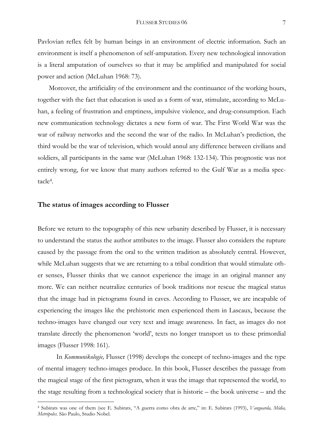Pavlovian reflex felt by human beings in an environment of electric information. Such an environment is itself a phenomenon of self-amputation. Every new technological innovation is a literal amputation of ourselves so that it may be amplified and manipulated for social power and action (McLuhan 1968: 73).

 Moreover, the artificiality of the environment and the continuance of the working hours, together with the fact that education is used as a form of war, stimulate, according to McLuhan, a feeling of frustration and emptiness, impulsive violence, and drug-consumption. Each new communication technology dictates a new form of war. The First World War was the war of railway networks and the second the war of the radio. In McLuhan's prediction, the third would be the war of television, which would annul any difference between civilians and soldiers, all participants in the same war (McLuhan 1968: 132-134). This prognostic was not entirely wrong, for we know that many authors referred to the Gulf War as a media spectacle4.

# **The status of images according to Flusser**

1

Before we return to the topography of this new urbanity described by Flusser, it is necessary to understand the status the author attributes to the image. Flusser also considers the rupture caused by the passage from the oral to the written tradition as absolutely central. However, while McLuhan suggests that we are returning to a tribal condition that would stimulate other senses, Flusser thinks that we cannot experience the image in an original manner any more. We can neither neutralize centuries of book traditions nor rescue the magical status that the image had in pictograms found in caves. According to Flusser, we are incapable of experiencing the images like the prehistoric men experienced them in Lascaux, because the techno-images have changed our very text and image awareness. In fact, as images do not translate directly the phenomenon 'world', texts no longer transport us to these primordial images (Flusser 1998: 161).

 In *Kommunikologie,* Flusser (1998) develops the concept of techno-images and the type of mental imagery techno-images produce. In this book, Flusser describes the passage from the magical stage of the first pictogram, when it was the image that represented the world, to the stage resulting from a technological society that is historic – the book universe – and the

<sup>4</sup> Subirats was one of them (see E. Subirats, "A guerra como obra de arte," in: E. Subirats (1993), *Vanguarda, Mídia, Metrópoles*. São Paulo, Studio Nobel.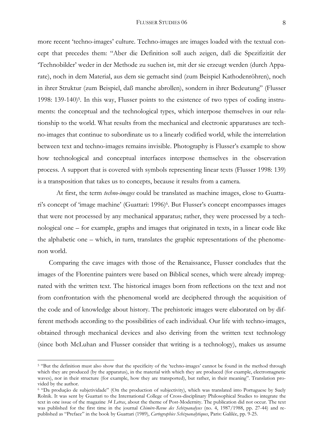more recent 'techno-images' culture. Techno-images are images loaded with the textual concept that precedes them: "Aber die Definition soll auch zeigen, daß die Spezifizität der 'Technobilder' weder in der Methode zu suchen ist, mit der sie erzeugt werden (durch Apparate), noch in dem Material, aus dem sie gemacht sind (zum Beispiel Kathodenröhren), noch in ihrer Struktur (zum Beispiel, daß manche abrollen), sondern in ihrer Bedeutung" (Flusser 1998: 139-140)5*.* In this way, Flusser points to the existence of two types of coding instruments: the conceptual and the technological types, which interpose themselves in our relationship to the world. What results from the mechanical and electronic apparatuses are techno-images that continue to subordinate us to a linearly codified world, while the interrelation between text and techno-images remains invisible. Photography is Flusser's example to show how technological and conceptual interfaces interpose themselves in the observation process. A support that is covered with symbols representing linear texts (Flusser 1998: 139) is a transposition that takes us to concepts, because it results from a camera.

 At first, the term *techno-images* could be translated as machine images, close to Guattari's concept of 'image machine' (Guattari: 1996)<sup>6</sup>. But Flusser's concept encompasses images that were not processed by any mechanical apparatus; rather, they were processed by a technological one – for example, graphs and images that originated in texts, in a linear code like the alphabetic one – which, in turn, translates the graphic representations of the phenomenon world.

 Comparing the cave images with those of the Renaissance, Flusser concludes that the images of the Florentine painters were based on Biblical scenes, which were already impregnated with the written text. The historical images born from reflections on the text and not from confrontation with the phenomenal world are deciphered through the acquisition of the code and of knowledge about history. The prehistoric images were elaborated on by different methods according to the possibilities of each individual. Our life with techno-images, obtained through mechanical devices and also deriving from the written text technology (since both McLuhan and Flusser consider that writing is a technology), makes us assume

<sup>&</sup>lt;sup>5</sup> "But the definition must also show that the specificity of the 'techno-images' cannot be found in the method through which they are produced (by the apparatus), in the material with which they are produced (for example, electromagnetic waves), nor in their structure (for example, how they are transported), but rather, in their meaning". Translation provided by the author.

<sup>6 &</sup>quot;Da produção de subjetividade" (On the production of subjectivity), which was translated into Portuguese by Suely Rolnik. It was sent by Guattari to the International College of Cross-disciplinary Philosophical Studies to integrate the text in one issue of the magazine *34 Letras*, about the theme of Post-Modernity. The publication did not occur. The text was published for the first time in the journal *Chimère-Revue des Schizoanalyses* (no. 4, 1987/1988, pp. 27-44) and republished as "Preface" in the book by Guattari (1989), *Cartographies Schizoanalytiques*, Paris: Galilée, pp. 9-25.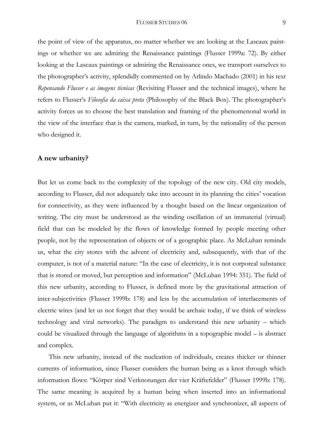the point of view of the apparatus, no matter whether we are looking at the Lascaux paintings or whether we are admiring the Renaissance paintings (Flusser 1999a: 72). By either looking at the Lascaux paintings or admiring the Renaissance ones, we transport ourselves to the photographer's activity, splendidly commented on by Arlindo Machado (2001) in his text *Repensando Flusser e as imagens técnicas* (Revisiting Flusser and the technical images), where he refers to Flusser's *Filosofia da caixa preta* (Philosophy of the Black Box). The photographer's activity forces us to choose the best translation and framing of the phenomenonal world in the view of the interface that is the camera, marked, in turn, by the rationality of the person who designed it.

# **A new urbanity?**

But let us come back to the complexity of the topology of the new city. Old city models, according to Flusser, did not adequately take into account in its planning the cities' vocation for connectivity, as they were influenced by a thought based on the linear organization of writing. The city must be understood as the winding oscillation of an immaterial (virtual) field that can be modeled by the flows of knowledge formed by people meeting other people, not by the representation of objects or of a geographic place. As McLuhan reminds us, what the city stores with the advent of electricity and, subsequently, with that of the computer, is not of a material nature: "In the case of electricity, it is not corporeal substance that is stored or moved, but perception and information" (McLuhan 1994: 351). The field of this new urbanity, according to Flusser, is defined more by the gravitational attraction of inter-subjectivities (Flusser 1999b: 178) and less by the accumulation of interlacements of electric wires (and let us not forget that they would be archaic today, if we think of wireless technology and viral networks). The paradigm to understand this new urbanity – which could be visualized through the language of algorithms in a topographic model – is abstract and complex.

 This new urbanity, instead of the nucleation of individuals, creates thicker or thinner currents of information, since Flusser considers the human being as a knot through which information flows: "Körper sind Verknotungen der vier Kräftefelder" (Flusser 1999b: 178). The same meaning is acquired by a human being when inserted into an informational system, or as McLuhan put it: "With electricity as energizer and synchronizer, all aspects of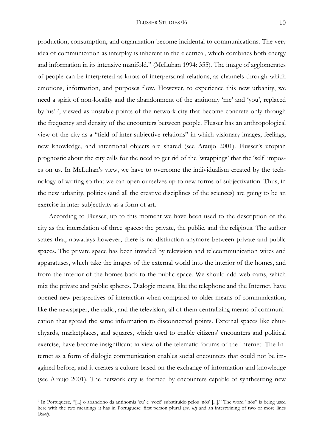production, consumption, and organization become incidental to communications. The very idea of communication as interplay is inherent in the electrical, which combines both energy and information in its intensive manifold." (McLuhan 1994: 355). The image of agglomerates of people can be interpreted as knots of interpersonal relations, as channels through which emotions, information, and purposes flow. However, to experience this new urbanity, we need a spirit of non-locality and the abandonment of the antinomy 'me' and 'you', replaced by 'us' 7, viewed as unstable points of the network city that become concrete only through the frequency and density of the encounters between people. Flusser has an anthropological view of the city as a "field of inter-subjective relations" in which visionary images, feelings, new knowledge, and intentional objects are shared (see Araujo 2001). Flusser's utopian prognostic about the city calls for the need to get rid of the 'wrappings' that the 'self' imposes on us. In McLuhan's view, we have to overcome the individualism created by the technology of writing so that we can open ourselves up to new forms of subjectivation. Thus, in the new urbanity, politics (and all the creative disciplines of the sciences) are going to be an exercise in inter-subjectivity as a form of art.

 According to Flusser, up to this moment we have been used to the description of the city as the interrelation of three spaces: the private, the public, and the religious. The author states that, nowadays however, there is no distinction anymore between private and public spaces. The private space has been invaded by television and telecommunication wires and apparatuses, which take the images of the external world into the interior of the homes, and from the interior of the homes back to the public space. We should add web cams, which mix the private and public spheres. Dialogic means, like the telephone and the Internet, have opened new perspectives of interaction when compared to older means of communication, like the newspaper, the radio, and the television, all of them centralizing means of communication that spread the same information to disconnected points. External spaces like churchyards, marketplaces, and squares, which used to enable citizens' encounters and political exercise, have become insignificant in view of the telematic forums of the Internet. The Internet as a form of dialogic communication enables social encounters that could not be imagined before, and it creates a culture based on the exchange of information and knowledge (see Araujo 2001). The network city is formed by encounters capable of synthesizing new

<sup>7</sup> In Portuguese, "[...] o abandono da antinomia 'eu' e 'você' substituído pelos 'nós' [...]." The word "nós" is being used here with the two meanings it has in Portuguese: first person plural (*we, us*) and an intertwining of two or more lines (*knot*).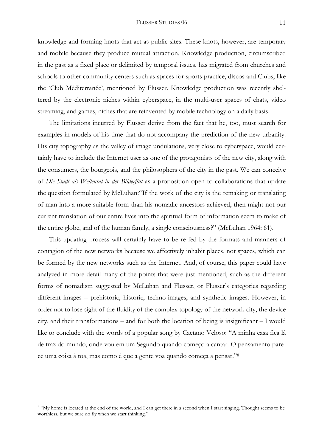#### FLUSSER STUDIES 06 11

knowledge and forming knots that act as public sites. These knots, however, are temporary and mobile because they produce mutual attraction. Knowledge production, circumscribed in the past as a fixed place or delimited by temporal issues, has migrated from churches and schools to other community centers such as spaces for sports practice, discos and Clubs, like the 'Club Méditerranée', mentioned by Flusser. Knowledge production was recently sheltered by the electronic niches within cyberspace, in the multi-user spaces of chats, video streaming, and games, niches that are reinvented by mobile technology on a daily basis.

 The limitations incurred by Flusser derive from the fact that he, too, must search for examples in models of his time that do not accompany the prediction of the new urbanity. His city topography as the valley of image undulations, very close to cyberspace, would certainly have to include the Internet user as one of the protagonists of the new city, along with the consumers, the bourgeois, and the philosophers of the city in the past. We can conceive of *Die Stadt als Wellental in der Bilderflut* as a proposition open to collaborations that update the question formulated by McLuhan: "If the work of the city is the remaking or translating of man into a more suitable form than his nomadic ancestors achieved, then might not our current translation of our entire lives into the spiritual form of information seem to make of the entire globe, and of the human family, a single consciousness?" (McLuhan 1964: 61).

 This updating process will certainly have to be re-fed by the formats and manners of contagion of the new networks because we affectively inhabit places, not spaces, which can be formed by the new networks such as the Internet. And, of course, this paper could have analyzed in more detail many of the points that were just mentioned, such as the different forms of nomadism suggested by McLuhan and Flusser, or Flusser's categories regarding different images – prehistoric, historic, techno-images, and synthetic images. However, in order not to lose sight of the fluidity of the complex topology of the network city, the device city, and their transformations – and for both the location of being is insignificant – I would like to conclude with the words of a popular song by Caetano Veloso: "A minha casa fica lá de traz do mundo, onde vou em um Segundo quando começo a cantar. O pensamento parece uma coisa à toa, mas como é que a gente voa quando começa a pensar."8

<sup>&</sup>lt;sup>8</sup> "My home is located at the end of the world, and I can get there in a second when I start singing. Thought seems to be worthless, but we sure do fly when we start thinking."